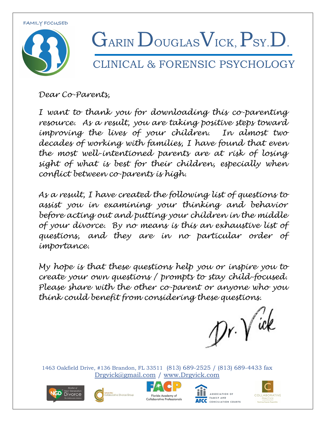

### LINICAL & FORENSIC PSYCHOLOGY

*Dear Co-Parents,*

*I want to thank you for downloading this co-parenting resource. As a result, you are taking positive steps toward improving the lives of your children. In almost two decades of working with families, I have found that even the most well-intentioned parents are at risk of losing sight of what is best for their children, especially when conflict between co-parents is high.* 

*As a result, I have created the following list of questions to assist you in examining your thinking and behavior before acting out and putting your children in the middle of your divorce. By no means is this an exhaustive list of questions, and they are in no particular order of importance.*

*My hope is that these questions help you or inspire you to create your own questions / prompts to stay child-focused. Please share with the other co-parent or anyone who you think could benefit from considering these questions.*

 $\n *Dr.*\n  $\sqrt{ek}$$ 









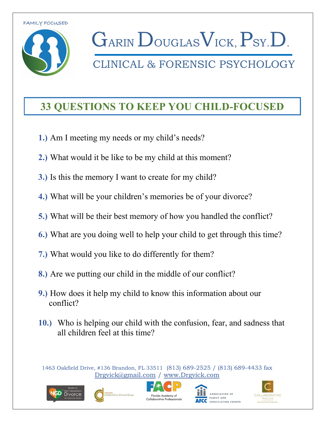

### CLINICAL & FORENSIC PSYCHOLOGY

#### **33 QUESTIONS TO KEEP YOU CHILD-FOCUSED**

- **1.)** Am I meeting my needs or my child's needs?
- **2.)** What would it be like to be my child at this moment?
- **3.)** Is this the memory I want to create for my child?
- **4.)** What will be your children's memories be of your divorce?
- **5.)** What will be their best memory of how you handled the conflict?
- **6.)** What are you doing well to help your child to get through this time?
- **7.)** What would you like to do differently for them?
- **8.)** Are we putting our child in the middle of our conflict?
- **9.)** How does it help my child to know this information about our conflict?
- **10.)** Who is helping our child with the confusion, fear, and sadness that all children feel at this time?









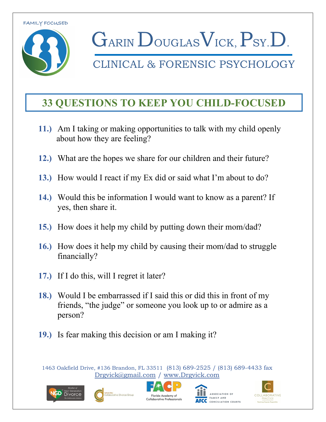

CLINICAL & FORENSIC PSYCHOLOGY

### **33 QUESTIONS TO KEEP YOU CHILD-FOCUSED**

- **11.)** Am I taking or making opportunities to talk with my child openly about how they are feeling?
- **12.)** What are the hopes we share for our children and their future?
- **13.)** How would I react if my Ex did or said what I'm about to do?
- **14.)** Would this be information I would want to know as a parent? If yes, then share it.
- **15.)** How does it help my child by putting down their mom/dad?
- **16.)** How does it help my child by causing their mom/dad to struggle financially?
- **17.)** If I do this, will I regret it later?
- **18.)** Would I be embarrassed if I said this or did this in front of my friends, "the judge" or someone you look up to or admire as a person?
- **19.)** Is fear making this decision or am I making it?









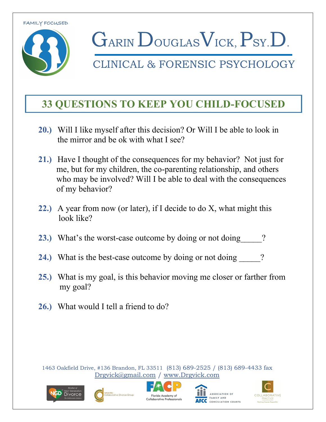

CLINICAL & FORENSIC PSYCHOLOGY

### **33 QUESTIONS TO KEEP YOU CHILD-FOCUSED**

- **20.)** Will I like myself after this decision? Or Will I be able to look in the mirror and be ok with what I see?
- **21.)** Have I thought of the consequences for my behavior? Not just for me, but for my children, the co-parenting relationship, and others who may be involved? Will I be able to deal with the consequences of my behavior?
- **22.)** A year from now (or later), if I decide to do X, what might this look like?
- **23.)** What's the worst-case outcome by doing or not doing  $\qquad$  ?
- **24.)** What is the best-case outcome by doing or not doing  $\qquad$  ?
- **25.)** What is my goal, is this behavior moving me closer or farther from my goal?
- **26.)** What would I tell a friend to do?